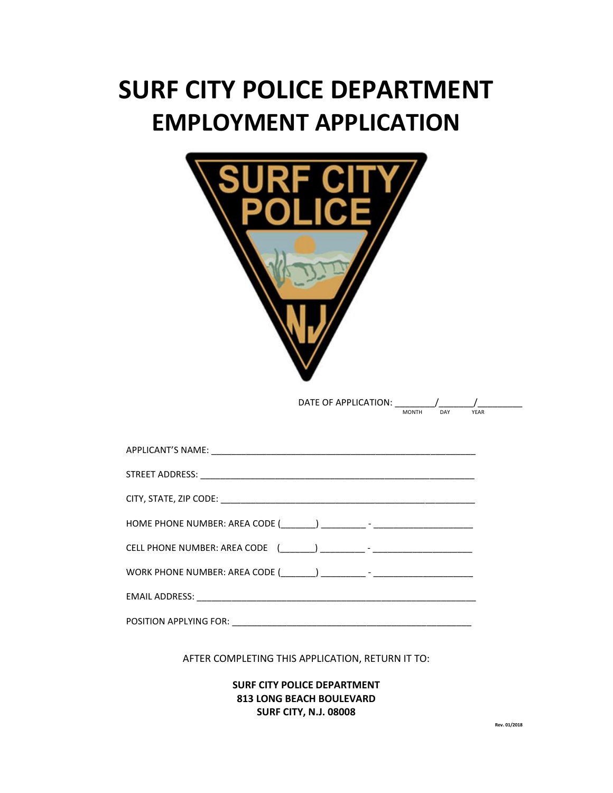# **SURF CITY POLICE DEPARTMENT EMPLOYMENT APPLICATION**



AFTER COMPLETING THIS APPLICATION, RETURN IT TO:

**SURF CITY POLICE DEPARTMENT 813 LONG BEACH BOULEVARD SURF CITY, N.J. 08008**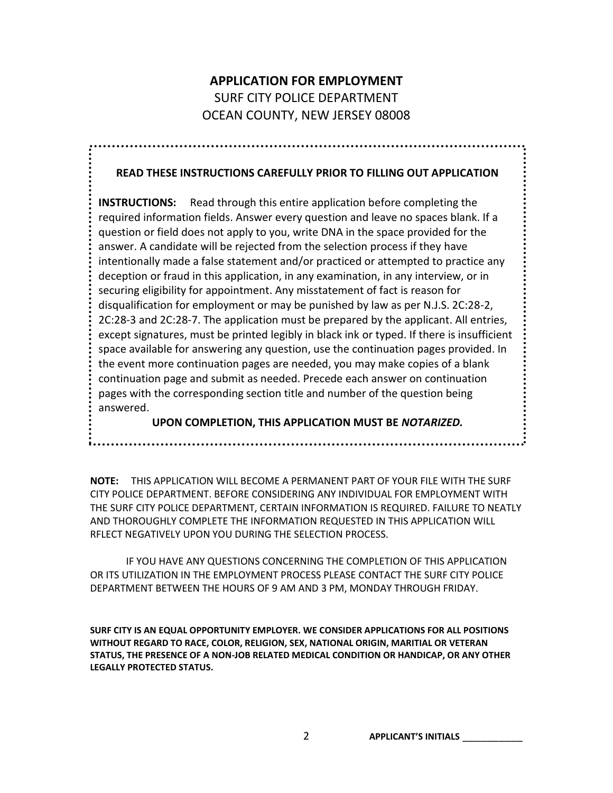# **APPLICATION FOR EMPLOYMENT** SURF CITY POLICE DEPARTMENT OCEAN COUNTY, NEW JERSEY 08008

#### **READ THESE INSTRUCTIONS CAREFULLY PRIOR TO FILLING OUT APPLICATION**

**INSTRUCTIONS:** Read through this entire application before completing the required information fields. Answer every question and leave no spaces blank. If a question or field does not apply to you, write DNA in the space provided for the answer. A candidate will be rejected from the selection process if they have intentionally made a false statement and/or practiced or attempted to practice any deception or fraud in this application, in any examination, in any interview, or in securing eligibility for appointment. Any misstatement of fact is reason for disqualification for employment or may be punished by law as per N.J.S. 2C:28-2, 2C:28-3 and 2C:28-7. The application must be prepared by the applicant. All entries, except signatures, must be printed legibly in black ink or typed. If there is insufficient space available for answering any question, use the continuation pages provided. In the event more continuation pages are needed, you may make copies of a blank continuation page and submit as needed. Precede each answer on continuation pages with the corresponding section title and number of the question being answered.

**UPON COMPLETION, THIS APPLICATION MUST BE** *NOTARIZED.*

**NOTE:** THIS APPLICATION WILL BECOME A PERMANENT PART OF YOUR FILE WITH THE SURF CITY POLICE DEPARTMENT. BEFORE CONSIDERING ANY INDIVIDUAL FOR EMPLOYMENT WITH THE SURF CITY POLICE DEPARTMENT, CERTAIN INFORMATION IS REQUIRED. FAILURE TO NEATLY AND THOROUGHLY COMPLETE THE INFORMATION REQUESTED IN THIS APPLICATION WILL RFLECT NEGATIVELY UPON YOU DURING THE SELECTION PROCESS.

IF YOU HAVE ANY QUESTIONS CONCERNING THE COMPLETION OF THIS APPLICATION OR ITS UTILIZATION IN THE EMPLOYMENT PROCESS PLEASE CONTACT THE SURF CITY POLICE DEPARTMENT BETWEEN THE HOURS OF 9 AM AND 3 PM, MONDAY THROUGH FRIDAY.

**SURF CITY IS AN EQUAL OPPORTUNITY EMPLOYER. WE CONSIDER APPLICATIONS FOR ALL POSITIONS WITHOUT REGARD TO RACE, COLOR, RELIGION, SEX, NATIONAL ORIGIN, MARITIAL OR VETERAN STATUS, THE PRESENCE OF A NON-JOB RELATED MEDICAL CONDITION OR HANDICAP, OR ANY OTHER LEGALLY PROTECTED STATUS.**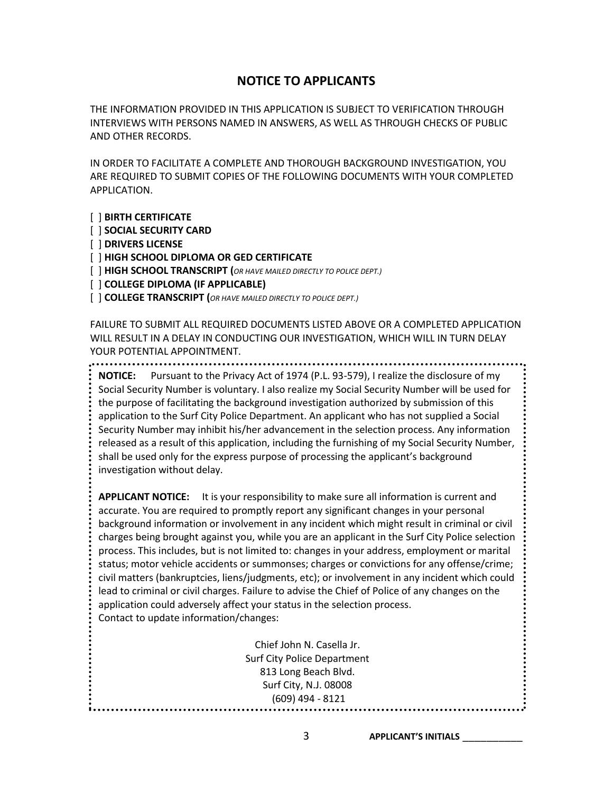### **NOTICE TO APPLICANTS**

THE INFORMATION PROVIDED IN THIS APPLICATION IS SUBJECT TO VERIFICATION THROUGH INTERVIEWS WITH PERSONS NAMED IN ANSWERS, AS WELL AS THROUGH CHECKS OF PUBLIC AND OTHER RECORDS.

IN ORDER TO FACILITATE A COMPLETE AND THOROUGH BACKGROUND INVESTIGATION, YOU ARE REQUIRED TO SUBMIT COPIES OF THE FOLLOWING DOCUMENTS WITH YOUR COMPLETED APPLICATION.

[ ] **BIRTH CERTIFICATE**

[ ] **SOCIAL SECURITY CARD**

[ ] **DRIVERS LICENSE**

[ ] **HIGH SCHOOL DIPLOMA OR GED CERTIFICATE**

[ ] **HIGH SCHOOL TRANSCRIPT (***OR HAVE MAILED DIRECTLY TO POLICE DEPT.)*

[ ] **COLLEGE DIPLOMA (IF APPLICABLE)**

[ ] **COLLEGE TRANSCRIPT (***OR HAVE MAILED DIRECTLY TO POLICE DEPT.)*

FAILURE TO SUBMIT ALL REQUIRED DOCUMENTS LISTED ABOVE OR A COMPLETED APPLICATION WILL RESULT IN A DELAY IN CONDUCTING OUR INVESTIGATION, WHICH WILL IN TURN DELAY YOUR POTENTIAL APPOINTMENT.

**NOTICE:** Pursuant to the Privacy Act of 1974 (P.L. 93-579), I realize the disclosure of my Social Security Number is voluntary. I also realize my Social Security Number will be used for the purpose of facilitating the background investigation authorized by submission of this application to the Surf City Police Department. An applicant who has not supplied a Social Security Number may inhibit his/her advancement in the selection process. Any information released as a result of this application, including the furnishing of my Social Security Number, shall be used only for the express purpose of processing the applicant's background investigation without delay.

**APPLICANT NOTICE:** It is your responsibility to make sure all information is current and accurate. You are required to promptly report any significant changes in your personal background information or involvement in any incident which might result in criminal or civil charges being brought against you, while you are an applicant in the Surf City Police selection process. This includes, but is not limited to: changes in your address, employment or marital status; motor vehicle accidents or summonses; charges or convictions for any offense/crime; civil matters (bankruptcies, liens/judgments, etc); or involvement in any incident which could lead to criminal or civil charges. Failure to advise the Chief of Police of any changes on the application could adversely affect your status in the selection process. Contact to update information/changes:

> Chief John N. Casella Jr. Surf City Police Department 813 Long Beach Blvd. Surf City, N.J. 08008 (609) 494 - 8121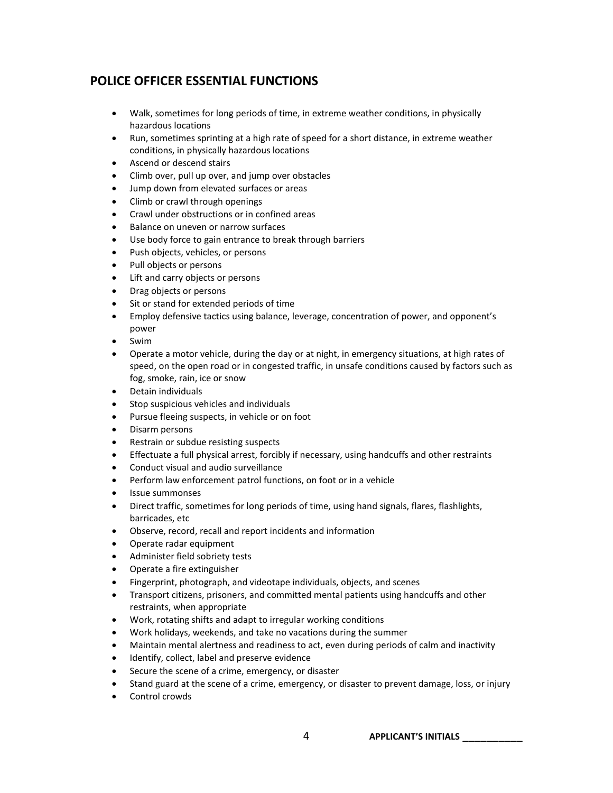# **POLICE OFFICER ESSENTIAL FUNCTIONS**

- Walk, sometimes for long periods of time, in extreme weather conditions, in physically hazardous locations
- Run, sometimes sprinting at a high rate of speed for a short distance, in extreme weather conditions, in physically hazardous locations
- Ascend or descend stairs
- Climb over, pull up over, and jump over obstacles
- Jump down from elevated surfaces or areas
- Climb or crawl through openings
- Crawl under obstructions or in confined areas
- Balance on uneven or narrow surfaces
- Use body force to gain entrance to break through barriers
- Push objects, vehicles, or persons
- Pull objects or persons
- Lift and carry objects or persons
- Drag objects or persons
- Sit or stand for extended periods of time
- Employ defensive tactics using balance, leverage, concentration of power, and opponent's power
- Swim
- Operate a motor vehicle, during the day or at night, in emergency situations, at high rates of speed, on the open road or in congested traffic, in unsafe conditions caused by factors such as fog, smoke, rain, ice or snow
- Detain individuals
- Stop suspicious vehicles and individuals
- Pursue fleeing suspects, in vehicle or on foot
- Disarm persons
- Restrain or subdue resisting suspects
- Effectuate a full physical arrest, forcibly if necessary, using handcuffs and other restraints
- Conduct visual and audio surveillance
- Perform law enforcement patrol functions, on foot or in a vehicle
- Issue summonses
- Direct traffic, sometimes for long periods of time, using hand signals, flares, flashlights, barricades, etc
- Observe, record, recall and report incidents and information
- Operate radar equipment
- Administer field sobriety tests
- Operate a fire extinguisher
- Fingerprint, photograph, and videotape individuals, objects, and scenes
- Transport citizens, prisoners, and committed mental patients using handcuffs and other restraints, when appropriate
- Work, rotating shifts and adapt to irregular working conditions
- Work holidays, weekends, and take no vacations during the summer
- Maintain mental alertness and readiness to act, even during periods of calm and inactivity
- Identify, collect, label and preserve evidence
- Secure the scene of a crime, emergency, or disaster
- Stand guard at the scene of a crime, emergency, or disaster to prevent damage, loss, or injury
- Control crowds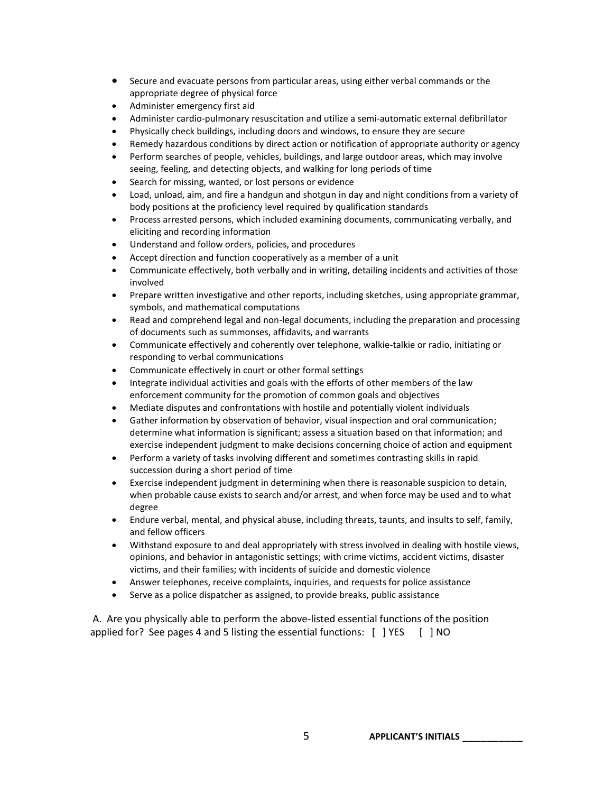- Secure and evacuate persons from particular areas, using either verbal commands or the appropriate degree of physical force
- Administer emergency first aid
- Administer cardio-pulmonary resuscitation and utilize a semi-automatic external defibrillator
- Physically check buildings, including doors and windows, to ensure they are secure
- Remedy hazardous conditions by direct action or notification of appropriate authority or agency
- Perform searches of people, vehicles, buildings, and large outdoor areas, which may involve seeing, feeling, and detecting objects, and walking for long periods of time
- Search for missing, wanted, or lost persons or evidence
- Load, unload, aim, and fire a handgun and shotgun in day and night conditions from a variety of body positions at the proficiency level required by qualification standards
- Process arrested persons, which included examining documents, communicating verbally, and eliciting and recording information
- Understand and follow orders, policies, and procedures
- Accept direction and function cooperatively as a member of a unit
- Communicate effectively, both verbally and in writing, detailing incidents and activities of those involved
- Prepare written investigative and other reports, including sketches, using appropriate grammar, symbols, and mathematical computations
- Read and comprehend legal and non-legal documents, including the preparation and processing of documents such as summonses, affidavits, and warrants
- Communicate effectively and coherently over telephone, walkie-talkie or radio, initiating or responding to verbal communications
- Communicate effectively in court or other formal settings
- Integrate individual activities and goals with the efforts of other members of the law enforcement community for the promotion of common goals and objectives
- Mediate disputes and confrontations with hostile and potentially violent individuals
- Gather information by observation of behavior, visual inspection and oral communication; determine what information is significant; assess a situation based on that information; and exercise independent judgment to make decisions concerning choice of action and equipment
- Perform a variety of tasks involving different and sometimes contrasting skills in rapid succession during a short period of time
- Exercise independent judgment in determining when there is reasonable suspicion to detain, when probable cause exists to search and/or arrest, and when force may be used and to what degree
- Endure verbal, mental, and physical abuse, including threats, taunts, and insults to self, family, and fellow officers
- Withstand exposure to and deal appropriately with stress involved in dealing with hostile views, opinions, and behavior in antagonistic settings; with crime victims, accident victims, disaster victims, and their families; with incidents of suicide and domestic violence
- Answer telephones, receive complaints, inquiries, and requests for police assistance
- Serve as a police dispatcher as assigned, to provide breaks, public assistance

A. Are you physically able to perform the above-listed essential functions of the position applied for? See pages 4 and 5 listing the essential functions: [ ] YES [ ] NO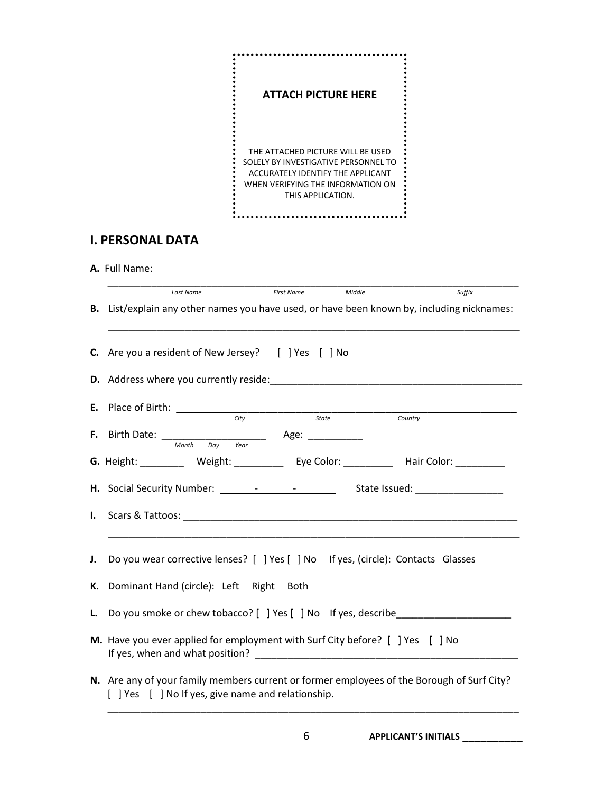

# **I. PERSONAL DATA**

**A.** Full Name:

|    | Suffix<br>Middle<br><b>First Name</b><br>Last Name                                                                                                            |  |  |  |
|----|---------------------------------------------------------------------------------------------------------------------------------------------------------------|--|--|--|
|    | B. List/explain any other names you have used, or have been known by, including nicknames:                                                                    |  |  |  |
|    | <b>C.</b> Are you a resident of New Jersey? [ ] Yes [ ] No                                                                                                    |  |  |  |
|    | <b>D.</b> Address where you currently reside: <b>Example 2014</b>                                                                                             |  |  |  |
|    | City<br>State<br>Country                                                                                                                                      |  |  |  |
|    | <b>F.</b> Birth Date: $\frac{M_{\text{both}}}{M_{\text{both}} - D_{\text{ay}} - Y_{\text{ear}}}$ Age: $\frac{M_{\text{out}}}{M_{\text{out}} - D_{\text{ay}}}$ |  |  |  |
|    | G. Height: ___________ Weight: _____________ Eye Color: ___________ Hair Color: __________                                                                    |  |  |  |
|    | H. Social Security Number: 1980 - 1991 - 1992 - 1994 - 1994 - 1994 - 1994 - 1994 - 1994 - 1994 - 1994 - 1994 -                                                |  |  |  |
|    |                                                                                                                                                               |  |  |  |
|    |                                                                                                                                                               |  |  |  |
|    | J. Do you wear corrective lenses? [ ] Yes [ ] No If yes, (circle): Contacts Glasses                                                                           |  |  |  |
|    | K. Dominant Hand (circle): Left Right Both                                                                                                                    |  |  |  |
| L. |                                                                                                                                                               |  |  |  |
|    | M. Have you ever applied for employment with Surf City before? [ ] Yes [ ] No<br>If yes, when and what position?                                              |  |  |  |
|    | N. Are any of your family members current or former employees of the Borough of Surf City?<br>[ ] Yes [ ] No If yes, give name and relationship.              |  |  |  |

6 **APPLICANT'S INITIALS** \_\_\_\_\_\_\_\_\_\_

\_\_\_\_\_\_\_\_\_\_\_\_\_\_\_\_\_\_\_\_\_\_\_\_\_\_\_\_\_\_\_\_\_\_\_\_\_\_\_\_\_\_\_\_\_\_\_\_\_\_\_\_\_\_\_\_\_\_\_\_\_\_\_\_\_\_\_\_\_\_\_\_\_\_\_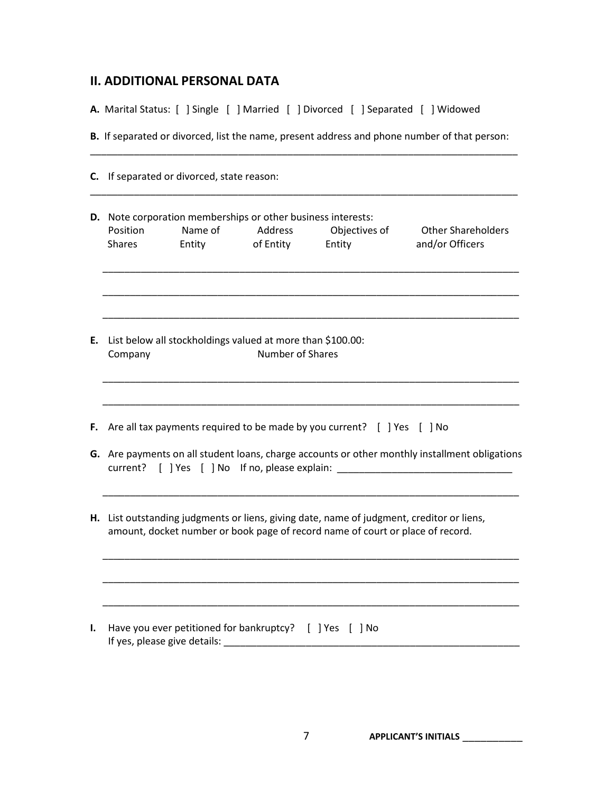#### **II. ADDITIONAL PERSONAL DATA**

**A.** Marital Status: [ ] Single [ ] Married [ ] Divorced [ ] Separated [ ] Widowed

**B.** If separated or divorced, list the name, present address and phone number of that person: \_\_\_\_\_\_\_\_\_\_\_\_\_\_\_\_\_\_\_\_\_\_\_\_\_\_\_\_\_\_\_\_\_\_\_\_\_\_\_\_\_\_\_\_\_\_\_\_\_\_\_\_\_\_\_\_\_\_\_\_\_\_\_\_\_\_\_\_\_\_\_\_\_\_\_\_\_\_

|                           | C. If separated or divorced, state reason: |                                                                                                       |                                                                                                                                                                             |                                                                                                |
|---------------------------|--------------------------------------------|-------------------------------------------------------------------------------------------------------|-----------------------------------------------------------------------------------------------------------------------------------------------------------------------------|------------------------------------------------------------------------------------------------|
| Position<br><b>Shares</b> | Name of<br>Entity                          | D. Note corporation memberships or other business interests:<br>Address<br>of Entity                  | Objectives of<br>Entity                                                                                                                                                     | <b>Other Shareholders</b><br>and/or Officers                                                   |
| Company                   |                                            | E. List below all stockholdings valued at more than \$100.00:<br>Number of Shares                     |                                                                                                                                                                             |                                                                                                |
|                           |                                            |                                                                                                       | F. Are all tax payments required to be made by you current? [ ] Yes [ ] No<br>current? [ ] Yes [ ] No If no, please explain:                                                | G. Are payments on all student loans, charge accounts or other monthly installment obligations |
|                           |                                            |                                                                                                       | H. List outstanding judgments or liens, giving date, name of judgment, creditor or liens,<br>amount, docket number or book page of record name of court or place of record. |                                                                                                |
|                           |                                            | Have you ever petitioned for bankruptcy? $\begin{bmatrix} 1 & \text{Voc} \\ \text{Voc} \end{bmatrix}$ |                                                                                                                                                                             |                                                                                                |

**I.** Have you ever petitioned for bankruptcy? [ ] Yes [ ] No If yes, please give details: \_\_\_\_\_\_\_\_\_\_\_\_\_\_\_\_\_\_\_\_\_\_\_\_\_\_\_\_\_\_\_\_\_\_\_\_\_\_\_\_\_\_\_\_\_\_\_\_\_\_\_\_\_\_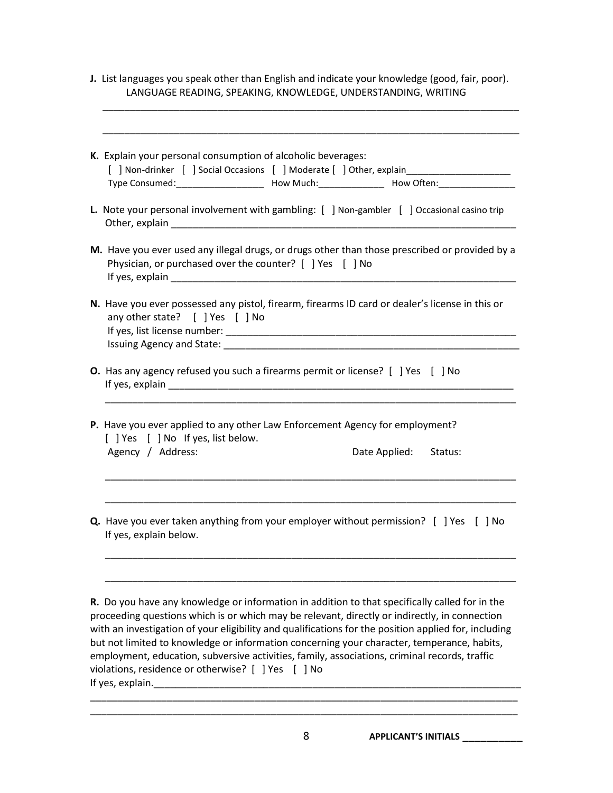**J.** List languages you speak other than English and indicate your knowledge (good, fair, poor). LANGUAGE READING, SPEAKING, KNOWLEDGE, UNDERSTANDING, WRITING

\_\_\_\_\_\_\_\_\_\_\_\_\_\_\_\_\_\_\_\_\_\_\_\_\_\_\_\_\_\_\_\_\_\_\_\_\_\_\_\_\_\_\_\_\_\_\_\_\_\_\_\_\_\_\_\_\_\_\_\_\_\_\_\_\_\_\_\_\_\_\_\_\_\_\_\_

| K. Explain your personal consumption of alcoholic beverages:                                                                                               |  |  |  |  |
|------------------------------------------------------------------------------------------------------------------------------------------------------------|--|--|--|--|
| [ ] Non-drinker [ ] Social Occasions [ ] Moderate [ ] Other, explain________________________________                                                       |  |  |  |  |
| L. Note your personal involvement with gambling: [ ] Non-gambler [ ] Occasional casino trip                                                                |  |  |  |  |
| M. Have you ever used any illegal drugs, or drugs other than those prescribed or provided by a<br>Physician, or purchased over the counter? [ ] Yes [ ] No |  |  |  |  |
| N. Have you ever possessed any pistol, firearm, firearms ID card or dealer's license in this or<br>any other state? [ ] Yes [ ] No                         |  |  |  |  |
| O. Has any agency refused you such a firearms permit or license? [ ] Yes [ ] No                                                                            |  |  |  |  |
| P. Have you ever applied to any other Law Enforcement Agency for employment?<br>[ ] Yes [ ] No If yes, list below.                                         |  |  |  |  |
| Date Applied:<br>Agency / Address:<br>Status:                                                                                                              |  |  |  |  |
| <b>Q.</b> Have you ever taken anything from your employer without permission? [ ] Yes [ ] No<br>If yes, explain below.                                     |  |  |  |  |
|                                                                                                                                                            |  |  |  |  |

proceeding questions which is or which may be relevant, directly or indirectly, in connection with an investigation of your eligibility and qualifications for the position applied for, including but not limited to knowledge or information concerning your character, temperance, habits, employment, education, subversive activities, family, associations, criminal records, traffic violations, residence or otherwise? [ ] Yes [ ] No If yes, explain.\_\_\_\_\_\_\_\_\_\_\_\_\_\_\_\_\_\_\_\_\_\_\_\_\_\_\_\_\_\_\_\_\_\_\_\_\_\_\_\_\_\_\_\_\_\_\_\_\_\_\_\_\_\_\_\_\_\_\_\_\_\_\_\_\_\_\_

\_\_\_\_\_\_\_\_\_\_\_\_\_\_\_\_\_\_\_\_\_\_\_\_\_\_\_\_\_\_\_\_\_\_\_\_\_\_\_\_\_\_\_\_\_\_\_\_\_\_\_\_\_\_\_\_\_\_\_\_\_\_\_\_\_\_\_\_\_\_\_\_\_\_\_\_\_\_ \_\_\_\_\_\_\_\_\_\_\_\_\_\_\_\_\_\_\_\_\_\_\_\_\_\_\_\_\_\_\_\_\_\_\_\_\_\_\_\_\_\_\_\_\_\_\_\_\_\_\_\_\_\_\_\_\_\_\_\_\_\_\_\_\_\_\_\_\_\_\_\_\_\_\_\_\_\_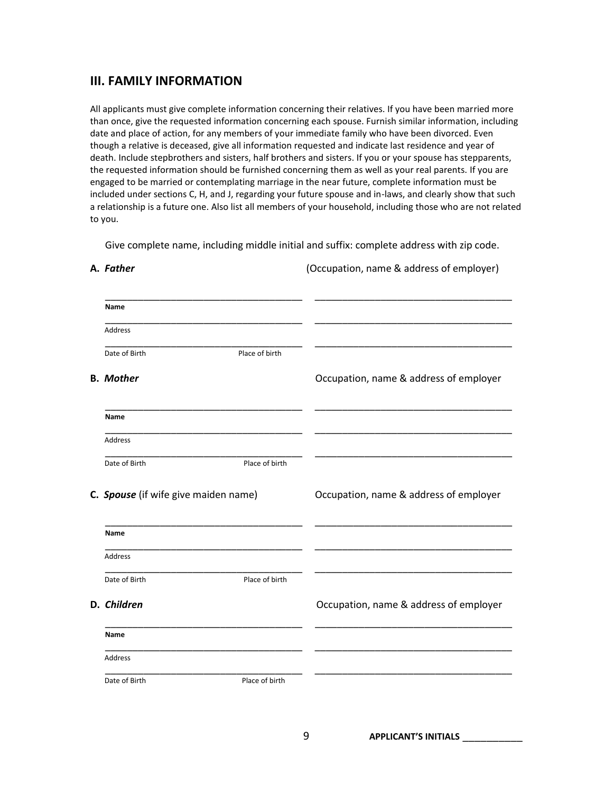#### **III. FAMILY INFORMATION**

All applicants must give complete information concerning their relatives. If you have been married more than once, give the requested information concerning each spouse. Furnish similar information, including date and place of action, for any members of your immediate family who have been divorced. Even though a relative is deceased, give all information requested and indicate last residence and year of death. Include stepbrothers and sisters, half brothers and sisters. If you or your spouse has stepparents, the requested information should be furnished concerning them as well as your real parents. If you are engaged to be married or contemplating marriage in the near future, complete information must be included under sections C, H, and J, regarding your future spouse and in-laws, and clearly show that such a relationship is a future one. Also list all members of your household, including those who are not related to you.

Give complete name, including middle initial and suffix: complete address with zip code.

| Name                                 |                |                                        |
|--------------------------------------|----------------|----------------------------------------|
| Address                              |                |                                        |
| Date of Birth                        | Place of birth |                                        |
| <b>B.</b> Mother                     |                | Occupation, name & address of employer |
| Name                                 |                |                                        |
| Address                              |                |                                        |
| Date of Birth                        | Place of birth |                                        |
| C. Spouse (if wife give maiden name) |                | Occupation, name & address of employer |
| Name                                 |                |                                        |
| Address                              |                |                                        |
| Date of Birth                        | Place of birth |                                        |
| D. Children                          |                | Occupation, name & address of employer |
| Name                                 |                |                                        |
| Address                              |                |                                        |
| Date of Birth                        | Place of birth |                                        |

**A.** *Father* (Occupation, name & address of employer)

9 **APPLICANT'S INITIALS** \_\_\_\_\_\_\_\_\_\_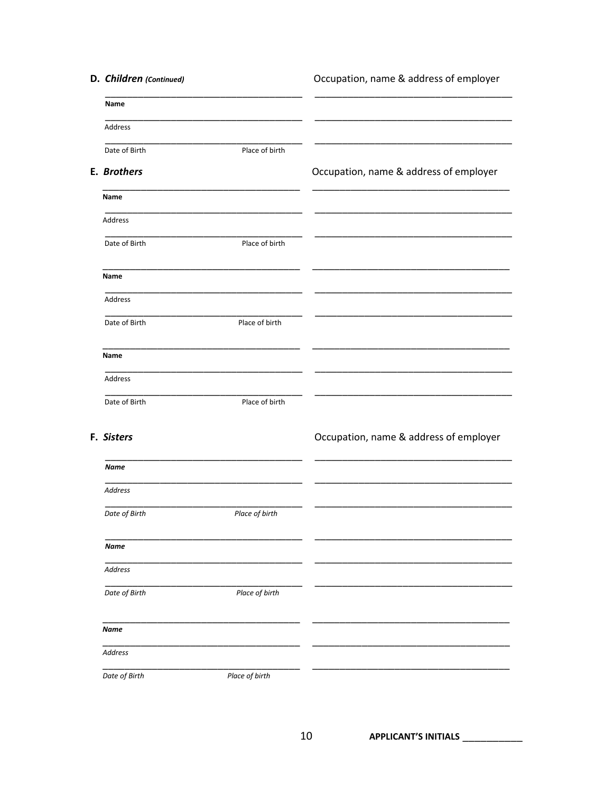| D. Children (Continued) |                | Occupation, name & address of employer |
|-------------------------|----------------|----------------------------------------|
| Name                    |                |                                        |
| Address                 |                |                                        |
| Date of Birth           | Place of birth |                                        |
| E. Brothers             |                | Occupation, name & address of employer |
| Name                    |                |                                        |
| Address                 |                |                                        |
| Date of Birth           | Place of birth |                                        |
| Name                    |                |                                        |
| Address                 |                |                                        |
| Date of Birth           | Place of birth |                                        |
| Name                    |                |                                        |
| Address                 |                |                                        |
| Date of Birth           | Place of birth |                                        |
| F. Sisters              |                | Occupation, name & address of employer |
| <b>Name</b>             |                |                                        |
| <b>Address</b>          |                |                                        |
| Date of Birth           | Place of birth |                                        |
| Name                    |                |                                        |
| Address                 |                |                                        |
| Date of Birth           | Place of birth |                                        |
| <b>Name</b>             |                |                                        |
| Address                 |                |                                        |
| Date of Birth           | Place of birth |                                        |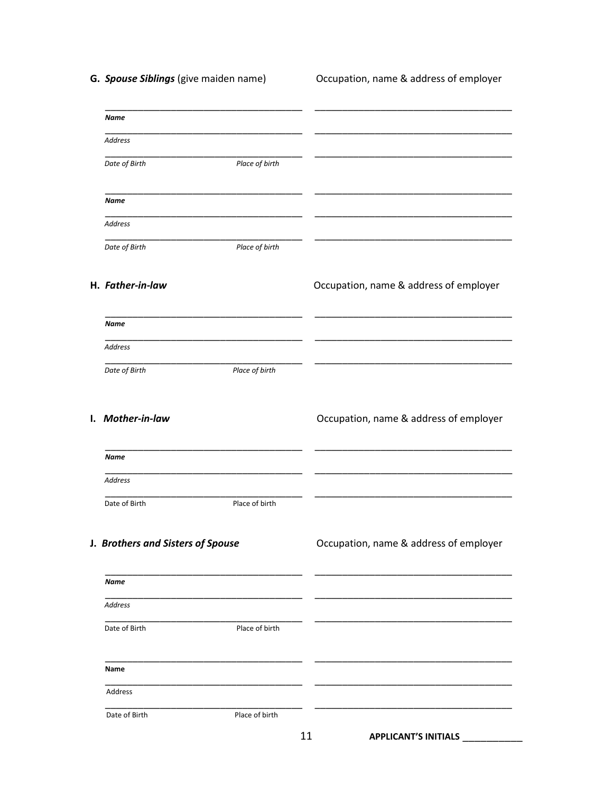G. Spouse Siblings (give maiden name)

Occupation, name & address of employer

| Name                              |                |                                        |
|-----------------------------------|----------------|----------------------------------------|
| Address                           |                |                                        |
| Date of Birth                     | Place of birth |                                        |
| Name                              |                |                                        |
| Address                           |                |                                        |
| Date of Birth                     | Place of birth |                                        |
| H. Father-in-law                  |                | Occupation, name & address of employer |
| <b>Name</b>                       |                |                                        |
| Address                           |                |                                        |
| Date of Birth                     | Place of birth |                                        |
| I. Mother-in-law                  |                | Occupation, name & address of employer |
| <b>Name</b>                       |                |                                        |
| Address                           |                |                                        |
| Date of Birth                     | Place of birth |                                        |
| J. Brothers and Sisters of Spouse |                | Occupation, name & address of employer |
| <b>Name</b>                       |                |                                        |
| Address                           |                |                                        |
| Date of Birth                     | Place of birth |                                        |
| Name                              |                |                                        |
| Address                           |                |                                        |
| Date of Birth                     | Place of birth |                                        |
|                                   |                | 11<br><b>APPLICANT'S INITIALS</b>      |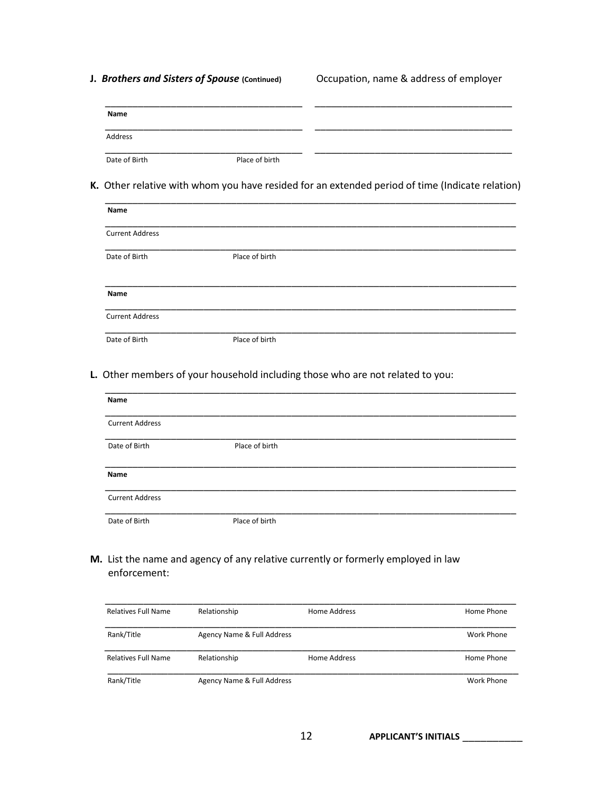**J. Brothers and Sisters of Spouse** (Continued) **Occupation, name & address of employer** 

| Name          |                |  |
|---------------|----------------|--|
| Address       |                |  |
| Date of Birth | Place of birth |  |

**K.** Other relative with whom you have resided for an extended period of time (Indicate relation)

| Name                   |                |  |
|------------------------|----------------|--|
| <b>Current Address</b> |                |  |
| Date of Birth          | Place of birth |  |
| Name                   |                |  |
| <b>Current Address</b> |                |  |
| Date of Birth          | Place of birth |  |

**L.** Other members of your household including those who are not related to you:

| Name                   |                |  |
|------------------------|----------------|--|
| <b>Current Address</b> |                |  |
| Date of Birth          | Place of birth |  |
| Name                   |                |  |
| <b>Current Address</b> |                |  |
| Date of Birth          | Place of birth |  |

**M.** List the name and agency of any relative currently or formerly employed in law enforcement:

| <b>Relatives Full Name</b> | Relationship               | Home Address | Home Phone |
|----------------------------|----------------------------|--------------|------------|
| Rank/Title                 | Agency Name & Full Address |              | Work Phone |
| <b>Relatives Full Name</b> | Relationship               | Home Address | Home Phone |
| Rank/Title                 | Agency Name & Full Address |              | Work Phone |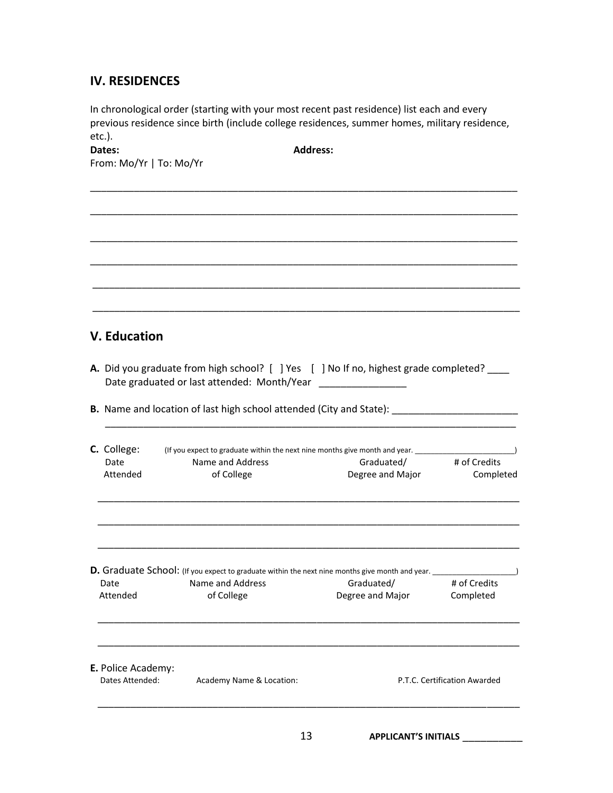### **IV. RESIDENCES**

In chronological order (starting with your most recent past residence) list each and every previous residence since birth (include college residences, summer homes, military residence, etc.).

**Dates: Address:** 

\_\_\_\_\_\_\_\_\_\_\_\_\_\_\_\_\_\_\_\_\_\_\_\_\_\_\_\_\_\_\_\_\_\_\_\_\_\_\_\_\_\_\_\_\_\_\_\_\_\_\_\_\_\_\_\_\_\_\_\_\_\_\_\_\_\_\_\_\_\_\_\_\_\_\_\_\_\_

\_\_\_\_\_\_\_\_\_\_\_\_\_\_\_\_\_\_\_\_\_\_\_\_\_\_\_\_\_\_\_\_\_\_\_\_\_\_\_\_\_\_\_\_\_\_\_\_\_\_\_\_\_\_\_\_\_\_\_\_\_\_\_\_\_\_\_\_\_\_\_\_\_\_\_\_\_\_

\_\_\_\_\_\_\_\_\_\_\_\_\_\_\_\_\_\_\_\_\_\_\_\_\_\_\_\_\_\_\_\_\_\_\_\_\_\_\_\_\_\_\_\_\_\_\_\_\_\_\_\_\_\_\_\_\_\_\_\_\_\_\_\_\_\_\_\_\_\_\_\_\_\_\_\_\_\_

\_\_\_\_\_\_\_\_\_\_\_\_\_\_\_\_\_\_\_\_\_\_\_\_\_\_\_\_\_\_\_\_\_\_\_\_\_\_\_\_\_\_\_\_\_\_\_\_\_\_\_\_\_\_\_\_\_\_\_\_\_\_\_\_\_\_\_\_\_\_\_\_\_\_\_\_\_\_

\_\_\_\_\_\_\_\_\_\_\_\_\_\_\_\_\_\_\_\_\_\_\_\_\_\_\_\_\_\_\_\_\_\_\_\_\_\_\_\_\_\_\_\_\_\_\_\_\_\_\_\_\_\_\_\_\_\_\_\_\_\_\_\_\_\_\_\_\_\_\_\_\_\_\_\_\_\_

\_\_\_\_\_\_\_\_\_\_\_\_\_\_\_\_\_\_\_\_\_\_\_\_\_\_\_\_\_\_\_\_\_\_\_\_\_\_\_\_\_\_\_\_\_\_\_\_\_\_\_\_\_\_\_\_\_\_\_\_\_\_\_\_\_\_\_\_\_\_\_\_\_\_\_\_\_\_

From: Mo/Yr | To: Mo/Yr

# **V. Education**

**A.** Did you graduate from high school? [ ] Yes [ ] No If no, highest grade completed? \_\_\_\_ Date graduated or last attended: Month/Year \_\_\_\_\_\_\_\_\_\_\_\_\_\_\_\_

\_\_\_\_\_\_\_\_\_\_\_\_\_\_\_\_\_\_\_\_\_\_\_\_\_\_\_\_\_\_\_\_\_\_\_\_\_\_\_\_\_\_\_\_\_\_\_\_\_\_\_\_\_\_\_\_\_\_\_\_\_\_\_\_\_\_\_\_\_\_\_\_\_\_\_

**B.** Name and location of last high school attended (City and State):

| C. College:<br>(If you expect to graduate within the next nine months give month and year. |                          |                                                                                                                                         |                              |  |
|--------------------------------------------------------------------------------------------|--------------------------|-----------------------------------------------------------------------------------------------------------------------------------------|------------------------------|--|
| Date                                                                                       | Name and Address         | Graduated/                                                                                                                              | # of Credits                 |  |
| Attended                                                                                   | of College               | Degree and Major                                                                                                                        | Completed                    |  |
|                                                                                            |                          |                                                                                                                                         |                              |  |
| Date                                                                                       | Name and Address         | D. Graduate School: (If you expect to graduate within the next nine months give month and year. _________<br>Graduated/<br># of Credits |                              |  |
| Attended                                                                                   | of College               | Degree and Major                                                                                                                        | Completed                    |  |
| E. Police Academy:                                                                         |                          |                                                                                                                                         |                              |  |
| Dates Attended:                                                                            | Academy Name & Location: |                                                                                                                                         | P.T.C. Certification Awarded |  |

13 **APPLICANT'S INITIALS** \_\_\_\_\_\_\_\_\_\_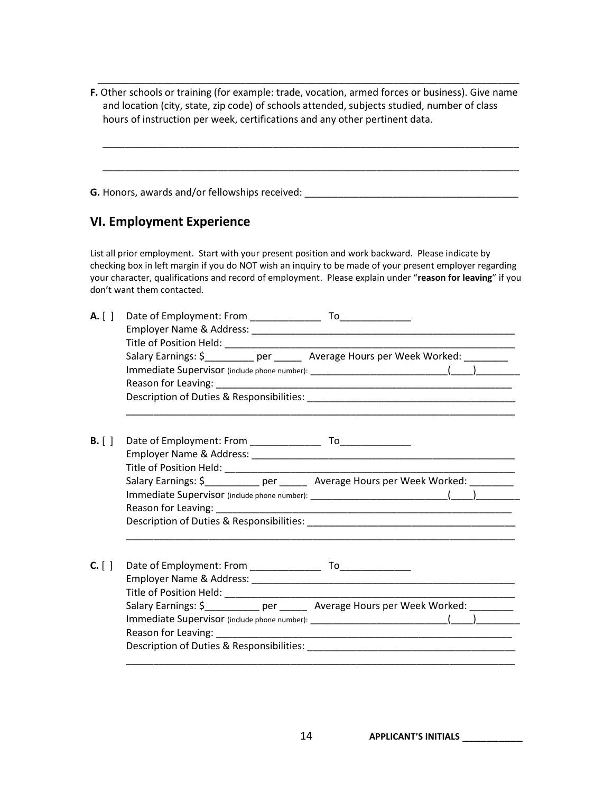**F.** Other schools or training (for example: trade, vocation, armed forces or business). Give name and location (city, state, zip code) of schools attended, subjects studied, number of class hours of instruction per week, certifications and any other pertinent data.

\_\_\_\_\_\_\_\_\_\_\_\_\_\_\_\_\_\_\_\_\_\_\_\_\_\_\_\_\_\_\_\_\_\_\_\_\_\_\_\_\_\_\_\_\_\_\_\_\_\_\_\_\_\_\_\_\_\_\_\_\_\_\_\_\_\_\_\_\_\_\_\_\_\_\_\_

\_\_\_\_\_\_\_\_\_\_\_\_\_\_\_\_\_\_\_\_\_\_\_\_\_\_\_\_\_\_\_\_\_\_\_\_\_\_\_\_\_\_\_\_\_\_\_\_\_\_\_\_\_\_\_\_\_\_\_\_\_\_\_\_\_\_\_\_\_\_\_\_\_\_\_\_

\_\_\_\_\_\_\_\_\_\_\_\_\_\_\_\_\_\_\_\_\_\_\_\_\_\_\_\_\_\_\_\_\_\_\_\_\_\_\_\_\_\_\_\_\_\_\_\_\_\_\_\_\_\_\_\_\_\_\_\_\_\_\_\_\_\_\_\_\_\_\_\_\_\_\_\_\_

**G.** Honors, awards and/or fellowships received: \_\_\_\_\_\_\_\_\_\_\_\_\_\_\_\_\_\_\_\_\_\_\_\_\_\_\_\_\_\_\_\_\_\_\_\_\_\_\_

# **VI. Employment Experience**

List all prior employment. Start with your present position and work backward. Please indicate by checking box in left margin if you do NOT wish an inquiry to be made of your present employer regarding your character, qualifications and record of employment. Please explain under "**reason for leaving**" if you don't want them contacted.

| A. [ ]   |                                                                                    |
|----------|------------------------------------------------------------------------------------|
|          | Salary Earnings: \$_________ per ______ Average Hours per Week Worked: ________    |
|          |                                                                                    |
| $B.$ [ ] |                                                                                    |
|          |                                                                                    |
| $C.$ [ ] |                                                                                    |
|          | Salary Earnings: \$____________ per _______ Average Hours per Week Worked: _______ |
|          |                                                                                    |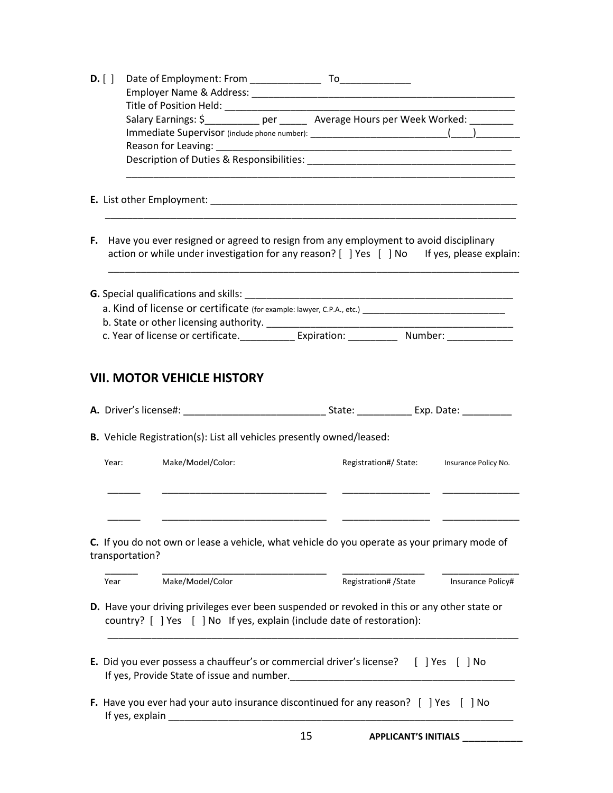| D. [ ] |                                                                         |                                                                                                                                                                                       |
|--------|-------------------------------------------------------------------------|---------------------------------------------------------------------------------------------------------------------------------------------------------------------------------------|
|        |                                                                         |                                                                                                                                                                                       |
|        | Title of Position Held: ________________                                |                                                                                                                                                                                       |
|        |                                                                         |                                                                                                                                                                                       |
|        |                                                                         |                                                                                                                                                                                       |
|        |                                                                         |                                                                                                                                                                                       |
|        |                                                                         |                                                                                                                                                                                       |
|        |                                                                         |                                                                                                                                                                                       |
|        |                                                                         | F. Have you ever resigned or agreed to resign from any employment to avoid disciplinary<br>action or while under investigation for any reason? [ ] Yes [ ] No If yes, please explain: |
|        |                                                                         |                                                                                                                                                                                       |
|        |                                                                         |                                                                                                                                                                                       |
|        |                                                                         | a. Kind of license or certificate (for example: lawyer, C.P.A., etc.) ______________________________                                                                                  |
|        |                                                                         | c. Year of license or certificate. ______________ Expiration: ______________ Number: ______________                                                                                   |
|        |                                                                         |                                                                                                                                                                                       |
|        |                                                                         |                                                                                                                                                                                       |
|        | B. Vehicle Registration(s): List all vehicles presently owned/leased:   |                                                                                                                                                                                       |
| Year:  | Make/Model/Color:                                                       | Registration#/ State: Insurance Policy No.                                                                                                                                            |
|        |                                                                         |                                                                                                                                                                                       |
|        | transportation?                                                         | C. If you do not own or lease a vehicle, what vehicle do you operate as your primary mode of                                                                                          |
| Year   | Make/Model/Color                                                        | Registration# / State<br>Insurance Policy#                                                                                                                                            |
|        |                                                                         | D. Have your driving privileges ever been suspended or revoked in this or any other state or                                                                                          |
|        | country? [ ] Yes [ ] No If yes, explain (include date of restoration):  |                                                                                                                                                                                       |
|        |                                                                         |                                                                                                                                                                                       |
|        |                                                                         | E. Did you ever possess a chauffeur's or commercial driver's license? [ ] Yes [ ] No                                                                                                  |
|        | If yes, explain<br><u> 2000 - Jan Barnett, fransk politik (d. 1882)</u> | F. Have you ever had your auto insurance discontinued for any reason? [ ] Yes [ ] No                                                                                                  |
|        |                                                                         | 15<br><b>APPLICANT'S INITIALS</b>                                                                                                                                                     |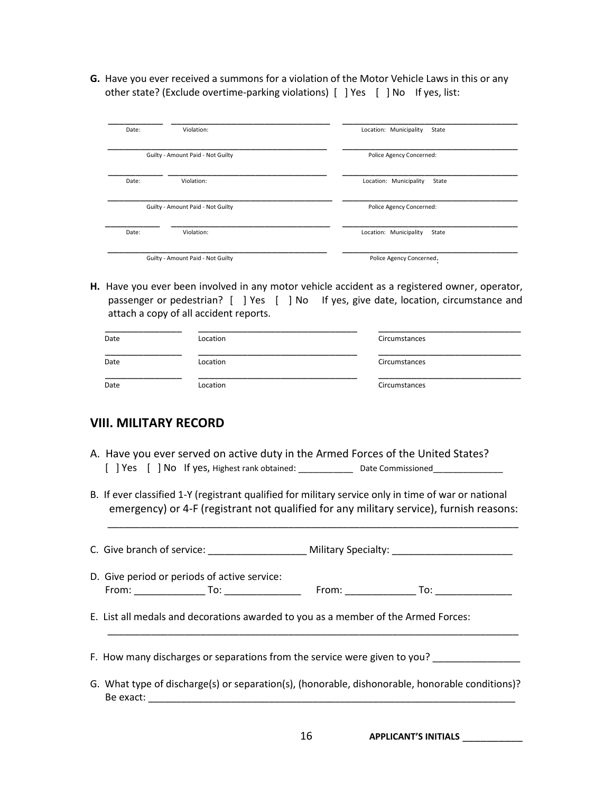**G.** Have you ever received a summons for a violation of the Motor Vehicle Laws in this or any other state? (Exclude overtime-parking violations) [ ] Yes [ ] No If yes, list:

| Date: | Violation:                        | Location: Municipality<br>State |
|-------|-----------------------------------|---------------------------------|
|       | Guilty - Amount Paid - Not Guilty | Police Agency Concerned:        |
| Date: | Violation:                        | Location: Municipality<br>State |
|       | Guilty - Amount Paid - Not Guilty | Police Agency Concerned:        |
| Date: | Violation:                        | Location: Municipality<br>State |
|       | Guilty - Amount Paid - Not Guilty | Police Agency Concerned.        |

**H.** Have you ever been involved in any motor vehicle accident as a registered owner, operator, passenger or pedestrian? [ ] Yes [ ] No If yes, give date, location, circumstance and attach a copy of all accident reports.

| Date | Location | Circumstances |
|------|----------|---------------|
| Date | Location | Circumstances |
| Date | Location | Circumstances |

#### **VIII. MILITARY RECORD**

- A. Have you ever served on active duty in the Armed Forces of the United States? [ ] Yes [ ] No If yes, Highest rank obtained: \_\_\_\_\_\_\_\_\_\_\_ Date Commissioned\_\_\_\_\_\_\_\_\_\_\_\_\_\_
- B. If ever classified 1-Y (registrant qualified for military service only in time of war or national emergency) or 4-F (registrant not qualified for any military service), furnish reasons:

\_\_\_\_\_\_\_\_\_\_\_\_\_\_\_\_\_\_\_\_\_\_\_\_\_\_\_\_\_\_\_\_\_\_\_\_\_\_\_\_\_\_\_\_\_\_\_\_\_\_\_\_\_\_\_\_\_\_\_\_\_\_\_\_\_\_\_\_\_\_\_\_\_\_\_

| D. Give period or periods of active service:                                                                 |  |
|--------------------------------------------------------------------------------------------------------------|--|
| E. List all medals and decorations awarded to you as a member of the Armed Forces:                           |  |
| F. How many discharges or separations from the service were given to you?                                    |  |
| G. What type of discharge(s) or separation(s), (honorable, dishonorable, honorable conditions)?<br>Be exact: |  |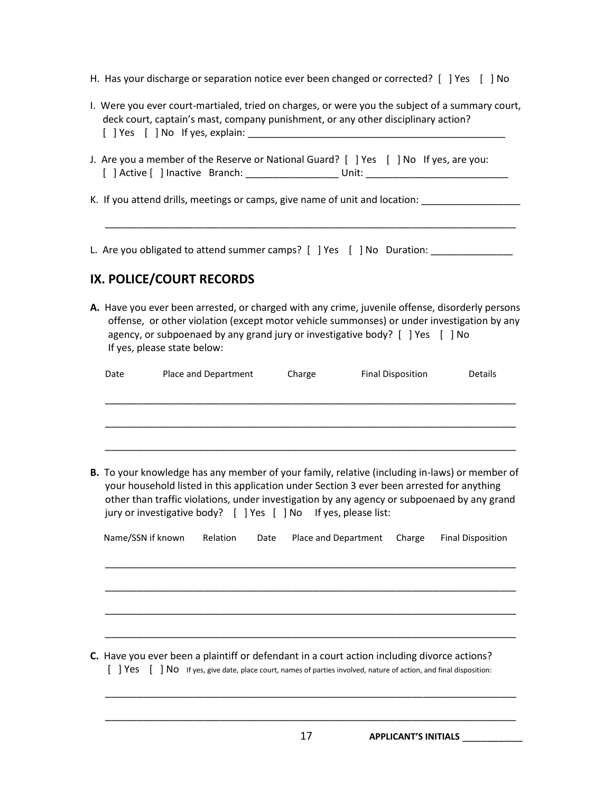- H. Has your discharge or separation notice ever been changed or corrected? [ ] Yes [ ] No
- I. Were you ever court-martialed, tried on charges, or were you the subject of a summary court, deck court, captain's mast, company punishment, or any other disciplinary action?  $[$  | Yes  $[$  | No If yes, explain:
- J. Are you a member of the Reserve or National Guard? [ ] Yes [ ] No If yes, are you: [ ] Active [ ] Inactive Branch: \_\_\_\_\_\_\_\_\_\_\_\_\_\_\_\_\_ Unit: \_\_\_\_\_\_\_\_\_\_\_\_\_\_\_\_\_\_\_\_\_\_\_\_\_\_
- K. If you attend drills, meetings or camps, give name of unit and location: Letting and Location and Location

\_\_\_\_\_\_\_\_\_\_\_\_\_\_\_\_\_\_\_\_\_\_\_\_\_\_\_\_\_\_\_\_\_\_\_\_\_\_\_\_\_\_\_\_\_\_\_\_\_\_\_\_\_\_\_\_\_\_\_\_\_\_\_\_\_\_\_\_\_\_\_\_\_\_\_

L. Are you obligated to attend summer camps? [ ] Yes [ ] No Duration: \_\_\_\_\_\_\_\_\_\_

# **IX. POLICE/COURT RECORDS**

**A.** Have you ever been arrested, or charged with any crime, juvenile offense, disorderly persons offense, or other violation (except motor vehicle summonses) or under investigation by any agency, or subpoenaed by any grand jury or investigative body? [ ] Yes [ ] No If yes, please state below:

| Date |                   | Place and Department                                            |      | Charge |                      | <b>Final Disposition</b> | <b>Details</b>                                                                                                                                                                                                                                                                                   |
|------|-------------------|-----------------------------------------------------------------|------|--------|----------------------|--------------------------|--------------------------------------------------------------------------------------------------------------------------------------------------------------------------------------------------------------------------------------------------------------------------------------------------|
|      |                   |                                                                 |      |        |                      |                          |                                                                                                                                                                                                                                                                                                  |
|      |                   |                                                                 |      |        |                      |                          |                                                                                                                                                                                                                                                                                                  |
|      |                   | jury or investigative body? [ ] Yes [ ] No If yes, please list: |      |        |                      |                          | <b>B.</b> To your knowledge has any member of your family, relative (including in-laws) or member of<br>your household listed in this application under Section 3 ever been arrested for anything<br>other than traffic violations, under investigation by any agency or subpoenaed by any grand |
|      | Name/SSN if known | Relation                                                        | Date |        | Place and Department | Charge                   | <b>Final Disposition</b>                                                                                                                                                                                                                                                                         |
|      |                   |                                                                 |      |        |                      |                          |                                                                                                                                                                                                                                                                                                  |
|      |                   |                                                                 |      |        |                      |                          |                                                                                                                                                                                                                                                                                                  |

[ ] Yes [ ] No If yes, give date, place court, names of parties involved, nature of action, and final disposition:

\_\_\_\_\_\_\_\_\_\_\_\_\_\_\_\_\_\_\_\_\_\_\_\_\_\_\_\_\_\_\_\_\_\_\_\_\_\_\_\_\_\_\_\_\_\_\_\_\_\_\_\_\_\_\_\_\_\_\_\_\_\_\_\_\_\_\_\_\_\_\_\_\_\_\_

\_\_\_\_\_\_\_\_\_\_\_\_\_\_\_\_\_\_\_\_\_\_\_\_\_\_\_\_\_\_\_\_\_\_\_\_\_\_\_\_\_\_\_\_\_\_\_\_\_\_\_\_\_\_\_\_\_\_\_\_\_\_\_\_\_\_\_\_\_\_\_\_\_\_\_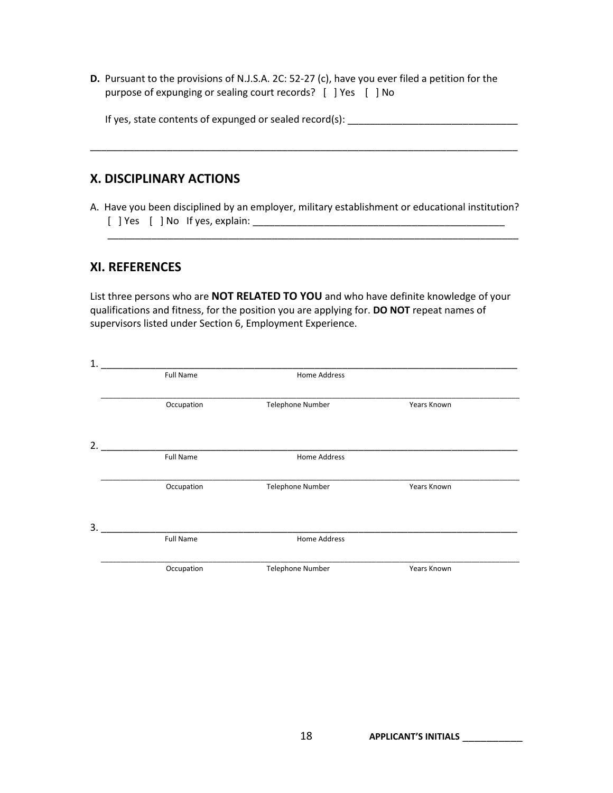**D.** Pursuant to the provisions of N.J.S.A. 2C: 52-27 (c), have you ever filed a petition for the purpose of expunging or sealing court records? [ ] Yes [ ] No

| If yes, state contents of expunged or sealed record(s): |  |
|---------------------------------------------------------|--|
|---------------------------------------------------------|--|

\_\_\_\_\_\_\_\_\_\_\_\_\_\_\_\_\_\_\_\_\_\_\_\_\_\_\_\_\_\_\_\_\_\_\_\_\_\_\_\_\_\_\_\_\_\_\_\_\_\_\_\_\_\_\_\_\_\_\_\_\_\_\_\_\_\_\_\_\_\_\_\_\_\_\_\_\_\_

#### **X. DISCIPLINARY ACTIONS**

A. Have you been disciplined by an employer, military establishment or educational institution? [ ] Yes [ ] No If yes, explain: \_\_\_\_\_\_\_\_\_\_\_\_\_\_\_\_\_\_\_\_\_\_\_\_\_\_\_\_\_\_\_\_\_\_\_\_\_\_\_\_\_\_\_\_\_\_

\_\_\_\_\_\_\_\_\_\_\_\_\_\_\_\_\_\_\_\_\_\_\_\_\_\_\_\_\_\_\_\_\_\_\_\_\_\_\_\_\_\_\_\_\_\_\_\_\_\_\_\_\_\_\_\_\_\_\_\_\_\_\_\_\_\_\_\_\_\_\_\_\_\_\_

#### **XI. REFERENCES**

List three persons who are **NOT RELATED TO YOU** and who have definite knowledge of your qualifications and fitness, for the position you are applying for. **DO NOT** repeat names of supervisors listed under Section 6, Employment Experience.

| $\mathbf{1}$ |                  |                  |             |  |
|--------------|------------------|------------------|-------------|--|
|              | <b>Full Name</b> | Home Address     |             |  |
|              | Occupation       | Telephone Number | Years Known |  |
| 2.           |                  |                  |             |  |
|              | Full Name        | Home Address     |             |  |
|              | Occupation       | Telephone Number | Years Known |  |
| 3.           |                  |                  |             |  |
|              | Full Name        | Home Address     |             |  |
|              | Occupation       | Telephone Number | Years Known |  |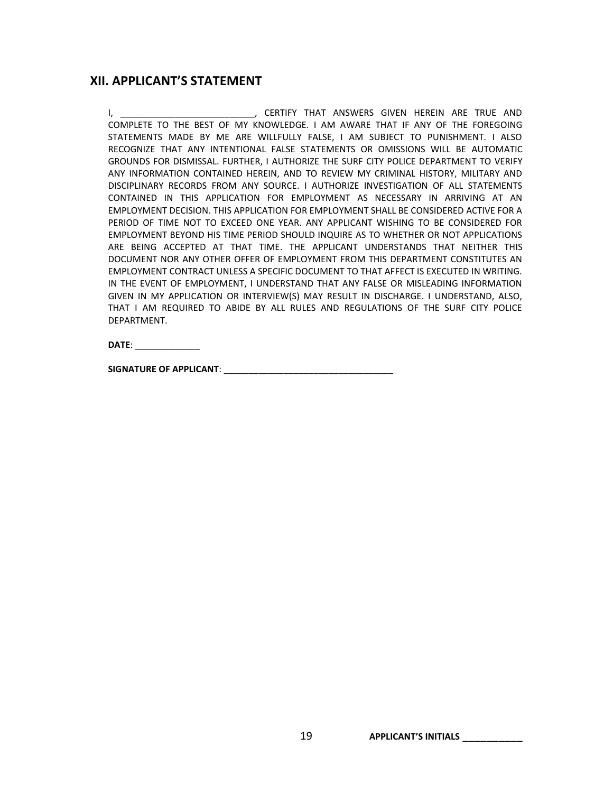#### **XII. APPLICANT'S STATEMENT**

I, THE SERTIFY THAT ANSWERS GIVEN HEREIN ARE TRUE AND COMPLETE TO THE BEST OF MY KNOWLEDGE. I AM AWARE THAT IF ANY OF THE FOREGOING STATEMENTS MADE BY ME ARE WILLFULLY FALSE, I AM SUBJECT TO PUNISHMENT. I ALSO RECOGNIZE THAT ANY INTENTIONAL FALSE STATEMENTS OR OMISSIONS WILL BE AUTOMATIC GROUNDS FOR DISMISSAL. FURTHER, I AUTHORIZE THE SURF CITY POLICE DEPARTMENT TO VERIFY ANY INFORMATION CONTAINED HEREIN, AND TO REVIEW MY CRIMINAL HISTORY, MILITARY AND DISCIPLINARY RECORDS FROM ANY SOURCE. I AUTHORIZE INVESTIGATION OF ALL STATEMENTS CONTAINED IN THIS APPLICATION FOR EMPLOYMENT AS NECESSARY IN ARRIVING AT AN EMPLOYMENT DECISION. THIS APPLICATION FOR EMPLOYMENT SHALL BE CONSIDERED ACTIVE FOR A PERIOD OF TIME NOT TO EXCEED ONE YEAR. ANY APPLICANT WISHING TO BE CONSIDERED FOR EMPLOYMENT BEYOND HIS TIME PERIOD SHOULD INQUIRE AS TO WHETHER OR NOT APPLICATIONS ARE BEING ACCEPTED AT THAT TIME. THE APPLICANT UNDERSTANDS THAT NEITHER THIS DOCUMENT NOR ANY OTHER OFFER OF EMPLOYMENT FROM THIS DEPARTMENT CONSTITUTES AN EMPLOYMENT CONTRACT UNLESS A SPECIFIC DOCUMENT TO THAT AFFECT IS EXECUTED IN WRITING. IN THE EVENT OF EMPLOYMENT, I UNDERSTAND THAT ANY FALSE OR MISLEADING INFORMATION GIVEN IN MY APPLICATION OR INTERVIEW(S) MAY RESULT IN DISCHARGE. I UNDERSTAND, ALSO, THAT I AM REQUIRED TO ABIDE BY ALL RULES AND REGULATIONS OF THE SURF CITY POLICE DEPARTMENT.

**DATE**: \_\_\_\_\_\_\_\_\_\_\_\_\_

**SIGNATURE OF APPLICANT**: \_\_\_\_\_\_\_\_\_\_\_\_\_\_\_\_\_\_\_\_\_\_\_\_\_\_\_\_\_\_\_\_\_\_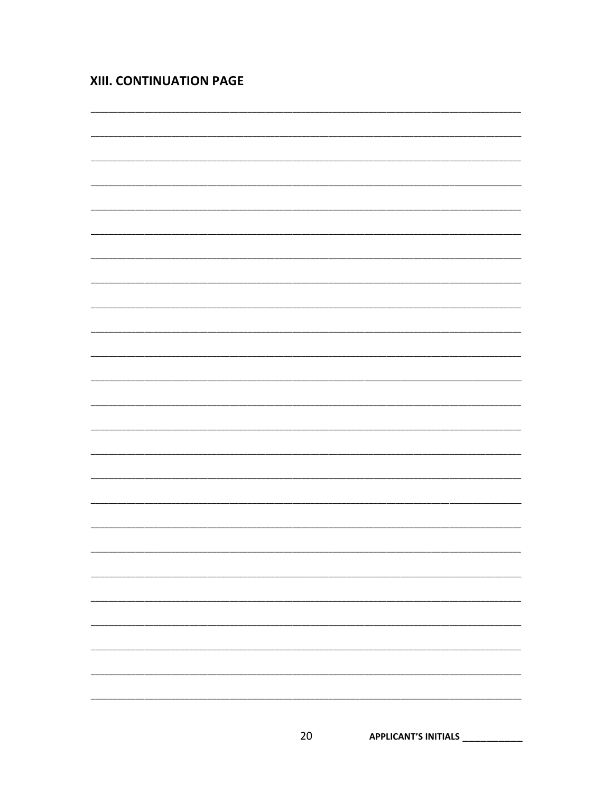# XIII. CONTINUATION PAGE